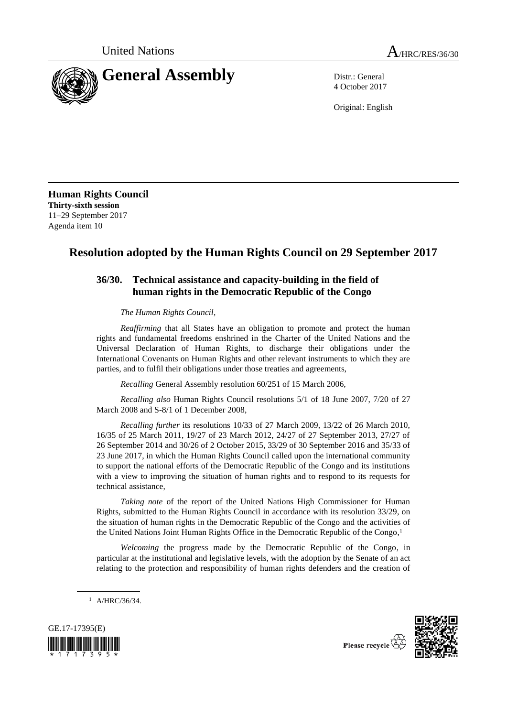

4 October 2017

Original: English

**Human Rights Council Thirty-sixth session** 11–29 September 2017 Agenda item 10

## **Resolution adopted by the Human Rights Council on 29 September 2017**

## **36/30. Technical assistance and capacity-building in the field of human rights in the Democratic Republic of the Congo**

*The Human Rights Council*,

*Reaffirming* that all States have an obligation to promote and protect the human rights and fundamental freedoms enshrined in the Charter of the United Nations and the Universal Declaration of Human Rights, to discharge their obligations under the International Covenants on Human Rights and other relevant instruments to which they are parties, and to fulfil their obligations under those treaties and agreements,

*Recalling* General Assembly resolution 60/251 of 15 March 2006,

*Recalling also* Human Rights Council resolutions 5/1 of 18 June 2007, 7/20 of 27 March 2008 and S-8/1 of 1 December 2008,

*Recalling further* its resolutions 10/33 of 27 March 2009, 13/22 of 26 March 2010, 16/35 of 25 March 2011, 19/27 of 23 March 2012, 24/27 of 27 September 2013, 27/27 of 26 September 2014 and 30/26 of 2 October 2015, 33/29 of 30 September 2016 and 35/33 of 23 June 2017, in which the Human Rights Council called upon the international community to support the national efforts of the Democratic Republic of the Congo and its institutions with a view to improving the situation of human rights and to respond to its requests for technical assistance,

*Taking note* of the report of the United Nations High Commissioner for Human Rights, submitted to the Human Rights Council in accordance with its resolution 33/29, on the situation of human rights in the Democratic Republic of the Congo and the activities of the United Nations Joint Human Rights Office in the Democratic Republic of the Congo, 1

*Welcoming* the progress made by the Democratic Republic of the Congo, in particular at the institutional and legislative levels, with the adoption by the Senate of an act relating to the protection and responsibility of human rights defenders and the creation of

 $1$  A/HRC/36/34.



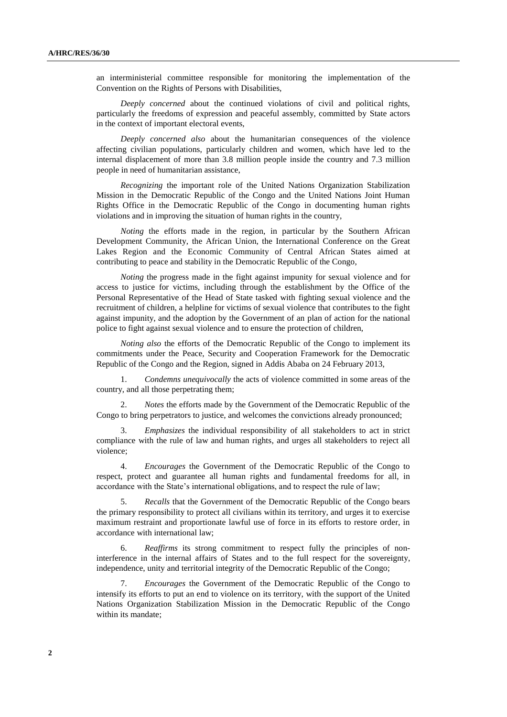an interministerial committee responsible for monitoring the implementation of the Convention on the Rights of Persons with Disabilities,

*Deeply concerned* about the continued violations of civil and political rights, particularly the freedoms of expression and peaceful assembly, committed by State actors in the context of important electoral events,

*Deeply concerned also* about the humanitarian consequences of the violence affecting civilian populations, particularly children and women, which have led to the internal displacement of more than 3.8 million people inside the country and 7.3 million people in need of humanitarian assistance,

*Recognizing* the important role of the United Nations Organization Stabilization Mission in the Democratic Republic of the Congo and the United Nations Joint Human Rights Office in the Democratic Republic of the Congo in documenting human rights violations and in improving the situation of human rights in the country,

*Noting* the efforts made in the region, in particular by the Southern African Development Community, the African Union, the International Conference on the Great Lakes Region and the Economic Community of Central African States aimed at contributing to peace and stability in the Democratic Republic of the Congo,

*Noting* the progress made in the fight against impunity for sexual violence and for access to justice for victims, including through the establishment by the Office of the Personal Representative of the Head of State tasked with fighting sexual violence and the recruitment of children, a helpline for victims of sexual violence that contributes to the fight against impunity, and the adoption by the Government of an plan of action for the national police to fight against sexual violence and to ensure the protection of children,

*Noting also* the efforts of the Democratic Republic of the Congo to implement its commitments under the Peace, Security and Cooperation Framework for the Democratic Republic of the Congo and the Region, signed in Addis Ababa on 24 February 2013,

1. *Condemns unequivocally* the acts of violence committed in some areas of the country, and all those perpetrating them;

2. *Notes* the efforts made by the Government of the Democratic Republic of the Congo to bring perpetrators to justice, and welcomes the convictions already pronounced;

3. *Emphasizes* the individual responsibility of all stakeholders to act in strict compliance with the rule of law and human rights, and urges all stakeholders to reject all violence;

4. *Encourages* the Government of the Democratic Republic of the Congo to respect, protect and guarantee all human rights and fundamental freedoms for all, in accordance with the State's international obligations, and to respect the rule of law;

5. *Recalls* that the Government of the Democratic Republic of the Congo bears the primary responsibility to protect all civilians within its territory, and urges it to exercise maximum restraint and proportionate lawful use of force in its efforts to restore order, in accordance with international law;

6. *Reaffirms* its strong commitment to respect fully the principles of noninterference in the internal affairs of States and to the full respect for the sovereignty, independence, unity and territorial integrity of the Democratic Republic of the Congo;

7. *Encourages* the Government of the Democratic Republic of the Congo to intensify its efforts to put an end to violence on its territory, with the support of the United Nations Organization Stabilization Mission in the Democratic Republic of the Congo within its mandate;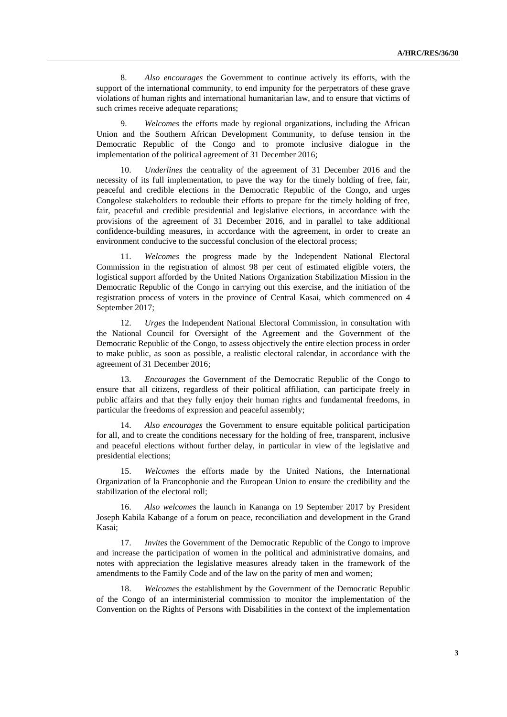8. *Also encourages* the Government to continue actively its efforts, with the support of the international community, to end impunity for the perpetrators of these grave violations of human rights and international humanitarian law, and to ensure that victims of such crimes receive adequate reparations;

9. *Welcomes* the efforts made by regional organizations, including the African Union and the Southern African Development Community, to defuse tension in the Democratic Republic of the Congo and to promote inclusive dialogue in the implementation of the political agreement of 31 December 2016;

10. *Underlines* the centrality of the agreement of 31 December 2016 and the necessity of its full implementation, to pave the way for the timely holding of free, fair, peaceful and credible elections in the Democratic Republic of the Congo, and urges Congolese stakeholders to redouble their efforts to prepare for the timely holding of free, fair, peaceful and credible presidential and legislative elections, in accordance with the provisions of the agreement of 31 December 2016, and in parallel to take additional confidence-building measures, in accordance with the agreement, in order to create an environment conducive to the successful conclusion of the electoral process;

11. *Welcomes* the progress made by the Independent National Electoral Commission in the registration of almost 98 per cent of estimated eligible voters, the logistical support afforded by the United Nations Organization Stabilization Mission in the Democratic Republic of the Congo in carrying out this exercise, and the initiation of the registration process of voters in the province of Central Kasai, which commenced on 4 September 2017;

12. *Urges* the Independent National Electoral Commission, in consultation with the National Council for Oversight of the Agreement and the Government of the Democratic Republic of the Congo, to assess objectively the entire election process in order to make public, as soon as possible, a realistic electoral calendar, in accordance with the agreement of 31 December 2016;

13. *Encourages* the Government of the Democratic Republic of the Congo to ensure that all citizens, regardless of their political affiliation, can participate freely in public affairs and that they fully enjoy their human rights and fundamental freedoms, in particular the freedoms of expression and peaceful assembly;

14. *Also encourages* the Government to ensure equitable political participation for all, and to create the conditions necessary for the holding of free, transparent, inclusive and peaceful elections without further delay, in particular in view of the legislative and presidential elections;

15. *Welcomes* the efforts made by the United Nations, the International Organization of la Francophonie and the European Union to ensure the credibility and the stabilization of the electoral roll;

16. *Also welcomes* the launch in Kananga on 19 September 2017 by President Joseph Kabila Kabange of a forum on peace, reconciliation and development in the Grand Kasai;

17. *Invites* the Government of the Democratic Republic of the Congo to improve and increase the participation of women in the political and administrative domains, and notes with appreciation the legislative measures already taken in the framework of the amendments to the Family Code and of the law on the parity of men and women;

18. *Welcomes* the establishment by the Government of the Democratic Republic of the Congo of an interministerial commission to monitor the implementation of the Convention on the Rights of Persons with Disabilities in the context of the implementation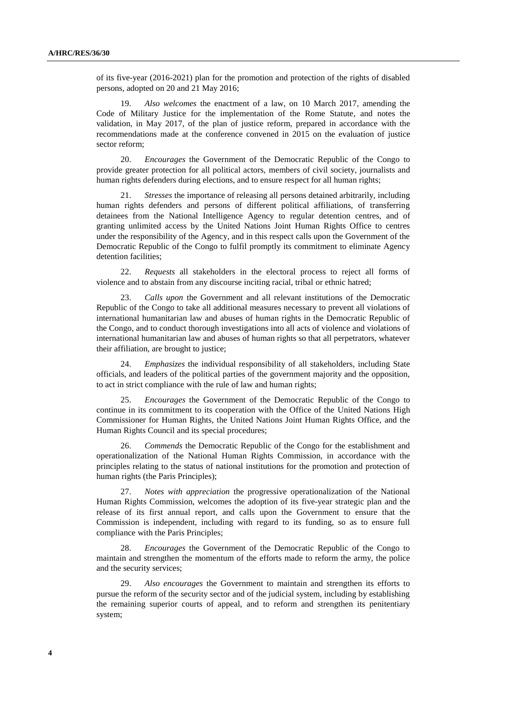of its five-year (2016-2021) plan for the promotion and protection of the rights of disabled persons, adopted on 20 and 21 May 2016;

19. *Also welcomes* the enactment of a law, on 10 March 2017, amending the Code of Military Justice for the implementation of the Rome Statute, and notes the validation, in May 2017, of the plan of justice reform, prepared in accordance with the recommendations made at the conference convened in 2015 on the evaluation of justice sector reform;

20. *Encourages* the Government of the Democratic Republic of the Congo to provide greater protection for all political actors, members of civil society, journalists and human rights defenders during elections, and to ensure respect for all human rights;

21. *Stresses* the importance of releasing all persons detained arbitrarily, including human rights defenders and persons of different political affiliations, of transferring detainees from the National Intelligence Agency to regular detention centres, and of granting unlimited access by the United Nations Joint Human Rights Office to centres under the responsibility of the Agency, and in this respect calls upon the Government of the Democratic Republic of the Congo to fulfil promptly its commitment to eliminate Agency detention facilities;

22. *Requests* all stakeholders in the electoral process to reject all forms of violence and to abstain from any discourse inciting racial, tribal or ethnic hatred;

23. *Calls upon* the Government and all relevant institutions of the Democratic Republic of the Congo to take all additional measures necessary to prevent all violations of international humanitarian law and abuses of human rights in the Democratic Republic of the Congo, and to conduct thorough investigations into all acts of violence and violations of international humanitarian law and abuses of human rights so that all perpetrators, whatever their affiliation, are brought to justice;

24. *Emphasizes* the individual responsibility of all stakeholders, including State officials, and leaders of the political parties of the government majority and the opposition, to act in strict compliance with the rule of law and human rights;

25. *Encourages* the Government of the Democratic Republic of the Congo to continue in its commitment to its cooperation with the Office of the United Nations High Commissioner for Human Rights, the United Nations Joint Human Rights Office, and the Human Rights Council and its special procedures;

26. *Commends* the Democratic Republic of the Congo for the establishment and operationalization of the National Human Rights Commission, in accordance with the principles relating to the status of national institutions for the promotion and protection of human rights (the Paris Principles);

27. *Notes with appreciation* the progressive operationalization of the National Human Rights Commission, welcomes the adoption of its five-year strategic plan and the release of its first annual report, and calls upon the Government to ensure that the Commission is independent, including with regard to its funding, so as to ensure full compliance with the Paris Principles;

28. *Encourages* the Government of the Democratic Republic of the Congo to maintain and strengthen the momentum of the efforts made to reform the army, the police and the security services;

29. *Also encourages* the Government to maintain and strengthen its efforts to pursue the reform of the security sector and of the judicial system, including by establishing the remaining superior courts of appeal, and to reform and strengthen its penitentiary system;